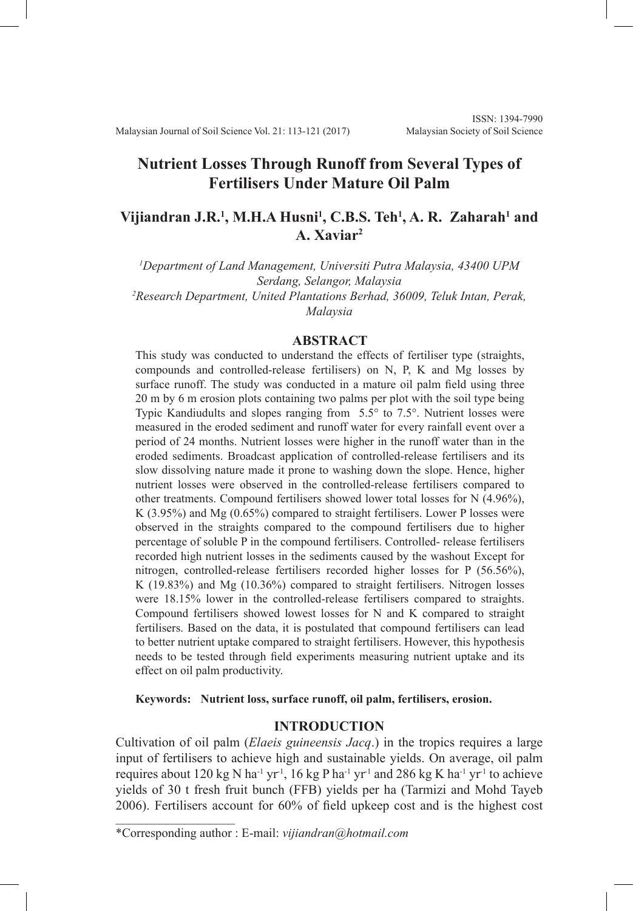# **Nutrient Losses Through Runoff from Several Types of Fertilisers Under Mature Oil Palm**

### **Vijiandran J.R.1 , M.H.A Husni1 , C.B.S. Teh1 , A. R. Zaharah1 and A. Xaviar2**

*1 Department of Land Management, Universiti Putra Malaysia, 43400 UPM Serdang, Selangor, Malaysia 2 Research Department, United Plantations Berhad, 36009, Teluk Intan, Perak, Malaysia*

**ABSTRACT**

This study was conducted to understand the effects of fertiliser type (straights, compounds and controlled-release fertilisers) on N, P, K and Mg losses by surface runoff. The study was conducted in a mature oil palm field using three 20 m by 6 m erosion plots containing two palms per plot with the soil type being Typic Kandiudults and slopes ranging from 5.5° to 7.5°. Nutrient losses were measured in the eroded sediment and runoff water for every rainfall event over a period of 24 months. Nutrient losses were higher in the runoff water than in the eroded sediments. Broadcast application of controlled-release fertilisers and its slow dissolving nature made it prone to washing down the slope. Hence, higher nutrient losses were observed in the controlled-release fertilisers compared to other treatments. Compound fertilisers showed lower total losses for N (4.96%), K (3.95%) and Mg (0.65%) compared to straight fertilisers. Lower P losses were observed in the straights compared to the compound fertilisers due to higher percentage of soluble P in the compound fertilisers. Controlled- release fertilisers recorded high nutrient losses in the sediments caused by the washout Except for nitrogen, controlled-release fertilisers recorded higher losses for P (56.56%), K (19.83%) and Mg (10.36%) compared to straight fertilisers. Nitrogen losses were 18.15% lower in the controlled-release fertilisers compared to straights. Compound fertilisers showed lowest losses for N and K compared to straight fertilisers. Based on the data, it is postulated that compound fertilisers can lead to better nutrient uptake compared to straight fertilisers. However, this hypothesis needs to be tested through field experiments measuring nutrient uptake and its effect on oil palm productivity.

**Keywords: Nutrient loss, surface runoff, oil palm, fertilisers, erosion.** 

#### **INTRODUCTION**

Cultivation of oil palm (*Elaeis guineensis Jacq*.) in the tropics requires a large input of fertilisers to achieve high and sustainable yields. On average, oil palm requires about 120 kg N ha<sup>-1</sup> yr<sup>1</sup>, 16 kg P ha<sup>-1</sup> yr<sup>1</sup> and 286 kg K ha<sup>-1</sup> yr<sup>1</sup> to achieve yields of 30 t fresh fruit bunch (FFB) yields per ha (Tarmizi and Mohd Tayeb 2006). Fertilisers account for 60% of field upkeep cost and is the highest cost  $\mathcal{L}=\mathcal{L}$  , we have the set of the set of the set of the set of the set of the set of the set of the set of the set of the set of the set of the set of the set of the set of the set of the set of the set of the set o

<sup>\*</sup>Corresponding author : E-mail: *vijiandran@hotmail.com*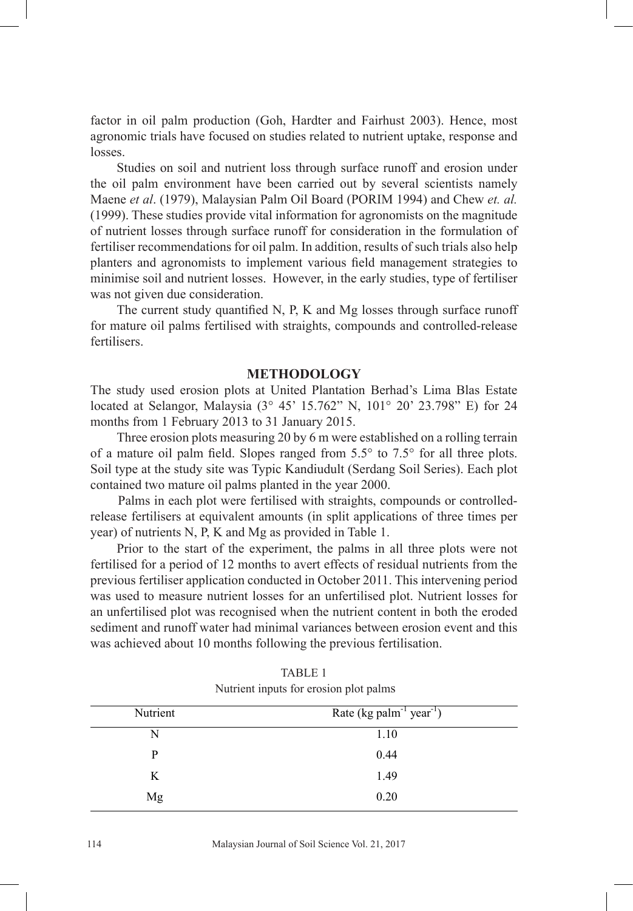factor in oil palm production (Goh, Hardter and Fairhust 2003). Hence, most agronomic trials have focused on studies related to nutrient uptake, response and losses.

Studies on soil and nutrient loss through surface runoff and erosion under the oil palm environment have been carried out by several scientists namely Maene *et al*. (1979), Malaysian Palm Oil Board (PORIM 1994) and Chew *et. al.* (1999). These studies provide vital information for agronomists on the magnitude of nutrient losses through surface runoff for consideration in the formulation of fertiliser recommendations for oil palm. In addition, results of such trials also help planters and agronomists to implement various field management strategies to minimise soil and nutrient losses. However, in the early studies, type of fertiliser was not given due consideration.

The current study quantified N, P, K and Mg losses through surface runoff for mature oil palms fertilised with straights, compounds and controlled-release fertilisers.

# **METHODOLOGY**

The study used erosion plots at United Plantation Berhad's Lima Blas Estate located at Selangor, Malaysia  $(3^{\circ}$  45' 15.762" N, 101° 20' 23.798" E) for 24 months from 1 February 2013 to 31 January 2015. recommendations for oil palm. In addition, results of such trials also help planters and The study used erosion plots at United Plantation Bernad's Lima Blas Estate

Three erosion plots measuring 20 by 6 m were established on a rolling terrain of a mature oil palm field. Slopes ranged from 5.5° to 7.5° for all three plots. Soil type at the study site was Typic Kandiudult (Serdang Soil Series). Each plot contained two mature oil palms planted in the year 2000.

Palms in each plot were fertilised with straights, compounds or controlledrelease fertilisers at equivalent amounts (in split applications of three times per year) of nutrients N, P, K and Mg as provided in Table 1.

Prior to the start of the experiment, the palms in all three plots were not fertilised for a period of 12 months to avert effects of residual nutrients from the previous fertiliser application conducted in October 2011. This intervening period was used to measure nutrient losses for an unfertilised plot. Nutrient losses for  $p$ an unfertilised plot was recognised when the nutrient content in both the eroded sediment and runoff water had minimal variances between erosion event and this was achieved about 10 months following the previous fertilisation. s used to measure muttent tosses for an untertifised plot. Futurent tosses for

| Nutrient | Rate ( $kg$ palm <sup>-1</sup> year <sup>-1</sup> ) |
|----------|-----------------------------------------------------|
| N        | 1.10                                                |
| P        | 0.44                                                |
| K        | 1.49                                                |
| Mg       | 0.20                                                |

TABLE 1 TABLE 1 Nutrient inputs for erosion plot palms Nutrient inputs for erosion plot palms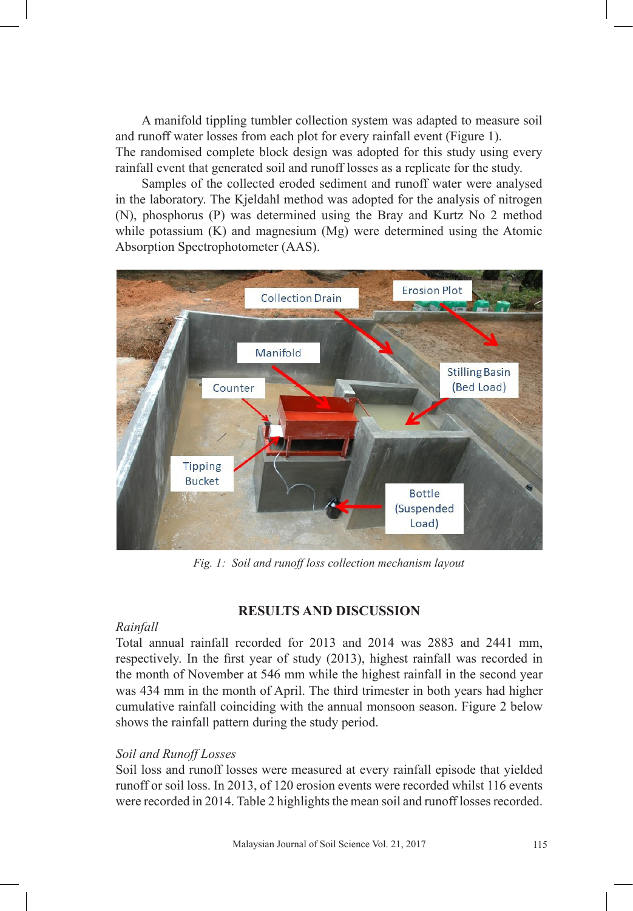A manifold tippling tumbler collection system was adapted to measure soil and runoff water losses from each plot for every rainfall event (Figure 1). The randomised complete block design was adopted for this study using every rainfall event that generated soil and runoff losses as a replicate for the study.

Samples of the collected eroded sediment and runoff water were analysed in the laboratory. The Kjeldahl method was adopted for the analysis of nitrogen (N), phosphorus (P) was determined using the Bray and Kurtz No 2 method while potassium (K) and magnesium (Mg) were determined using the Atomic Absorption Spectrophotometer (AAS).



*Fig. 1: Soil and runoff loss collection mechanism layout*

#### **RESULTS AND DISCUSSION**

#### *Rainfall*

Total annual rainfall recorded for 2013 and 2014 was 2883 and 2441 mm, respectively. In the first year of study (2013), highest rainfall was recorded in the month of November at 546 mm while the highest rainfall in the second year was 434 mm in the month of April. The third trimester in both years had higher cumulative rainfall coinciding with the annual monsoon season. Figure 2 below shows the rainfall pattern during the study period.

#### *Soil and Runoff Losses*

Soil loss and runoff losses were measured at every rainfall episode that yielded runoff or soil loss. In 2013, of 120 erosion events were recorded whilst 116 events were recorded in 2014. Table 2 highlights the mean soil and runoff losses recorded.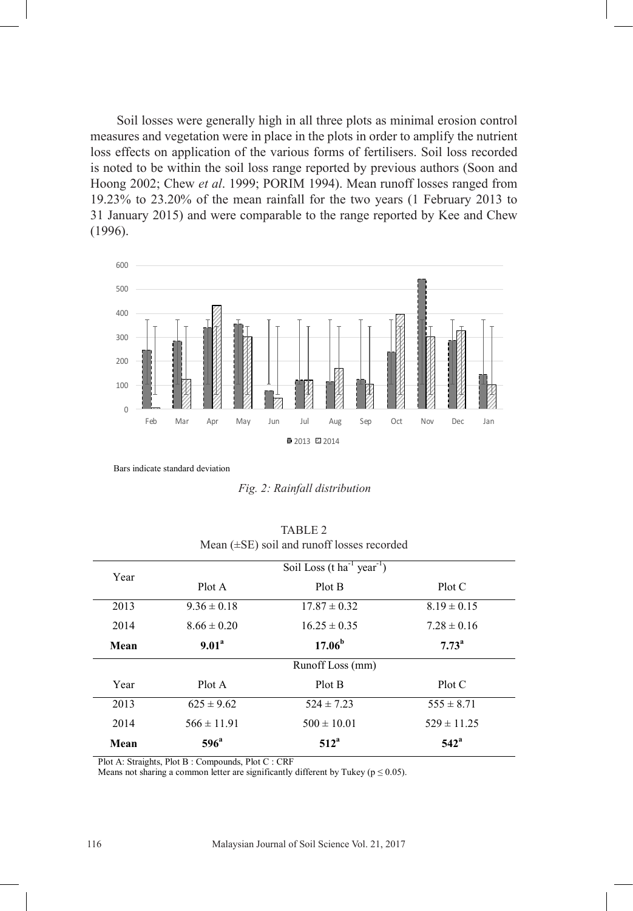Soil losses were generally high in all three plots as minimal erosion control measures and vegetation were in place in the plots in order to amplify the nutrient loss effects on application of the various forms of fertilisers. Soil loss recorded is noted to be within the soil loss range reported by previous authors (Soon and Hoong 2002; Chew *et al*. 1999; PORIM 1994). Mean runoff losses ranged from 19.23% to 23.20% of the mean rainfall for the two years (1 February 2013 to 31 January 2015) and were comparable to the range reported by Kee and Chew (1996).



Bars indicate standard deviation

Fig. 2: Rainfall distribution

| Year |                  | Soil Loss (t ha <sup>-1</sup> year <sup>-1</sup> ) |                  |  |  |
|------|------------------|----------------------------------------------------|------------------|--|--|
|      | Plot A           | Plot B                                             | Plot C           |  |  |
| 2013 | $9.36 \pm 0.18$  | $17.87 \pm 0.32$                                   | $8.19 \pm 0.15$  |  |  |
| 2014 | $8.66 \pm 0.20$  | $16.25 \pm 0.35$                                   | $7.28 \pm 0.16$  |  |  |
| Mean | $9.01^a$         | 17.06 <sup>b</sup>                                 | $7.73^{\rm a}$   |  |  |
|      |                  | Runoff Loss (mm)                                   |                  |  |  |
| Year | Plot A           | Plot B                                             | Plot C           |  |  |
| 2013 | $625 \pm 9.62$   | $524 \pm 7.23$                                     | $555 \pm 8.71$   |  |  |
| 2014 | $566 \pm 11.91$  | $500 \pm 10.01$                                    | $529 \pm 11.25$  |  |  |
| Mean | 596 <sup>a</sup> | 512 <sup>a</sup>                                   | 542 <sup>a</sup> |  |  |

TABLE 2 TABLE 2 Mean (±SE) soil and runoff losses recorded Mean (±SE) soil and runoff losses recorded

Plot A: Straights, Plot B : Compounds, Plot C : CRF

Means not sharing a common letter are significantly different by Tukey ( $p \le 0.05$ ).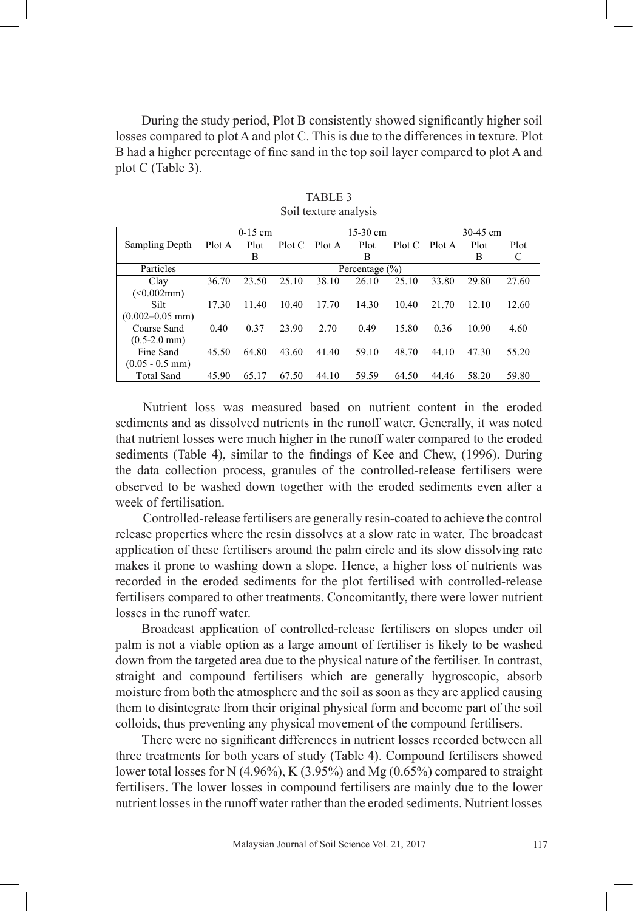During the study period, Plot B consistently showed significantly higher soil but all the state period, The B compared by Showed significantly inglied some losses compared to plot A and plot C. This is due to the differences in texture. Plot B had a higher percentage of fine sand in the top soil layer compared to plot A and  $p$ lot C (Table 3). mpared to plot A and plot  $C$ . This is due to the differences in texture.

|                     |        | $0-15$ cm |        |        | 15-30 cm           |        |        | 30-45 cm |       |
|---------------------|--------|-----------|--------|--------|--------------------|--------|--------|----------|-------|
| Sampling Depth      | Plot A | Plot      | Plot C | Plot A | Plot               | Plot C | Plot A | Plot     | Plot  |
|                     |        | В         |        |        | В                  |        |        | B        | C     |
| Particles           |        |           |        |        | Percentage $(\% )$ |        |        |          |       |
| Clay                | 36.70  | 23.50     | 25.10  | 38.10  | 26.10              | 25.10  | 33.80  | 29.80    | 27.60 |
| (<0.002mm)          |        |           |        |        |                    |        |        |          |       |
| Silt                | 17.30  | 11.40     | 10.40  | 17.70  | 14.30              | 10.40  | 21.70  | 12.10    | 12.60 |
| $(0.002 - 0.05$ mm) |        |           |        |        |                    |        |        |          |       |
| Coarse Sand         | 0.40   | 0.37      | 23.90  | 2.70   | 0.49               | 15.80  | 0.36   | 10.90    | 4.60  |
| $(0.5-2.0$ mm)      |        |           |        |        |                    |        |        |          |       |
| Fine Sand           | 45.50  | 64.80     | 43.60  | 41.40  | 59.10              | 48.70  | 44.10  | 47.30    | 55.20 |
| $(0.05 - 0.5$ mm)   |        |           |        |        |                    |        |        |          |       |
| <b>Total Sand</b>   | 45.90  | 65.17     | 67.50  | 44.10  | 59.59              | 64.50  | 44.46  | 58.20    | 59.80 |

TABLE 3 TABLE 3 Soil texture analysis Soil texture analysis

Nutrient loss was measured based on nutrient content in the eroded sediments and as dissolved nutrients in the runoff water. Generally, it was noted that nutrient losses were much higher in the runoff water compared to the eroded sediments (Table 4), similar to the findings of Kee and Chew, (1996). During the data collection process, granules of the controlled-release fertilisers were observed to be washed down together with the eroded sediments even after a week of fertilisation.

Controlled-release fertilisers are generally resin-coated to achieve the control release properties where the resin dissolves at a slow rate in water. The broadcast application of these fertilisers around the palm circle and its slow dissolving rate makes it prone to washing down a slope. Hence, a higher loss of nutrients was recorded in the eroded sediments for the plot fertilised with controlled-release fertilisers compared to other treatments. Concomitantly, there were lower nutrient losses in the runoff water.

Broadcast application of controlled-release fertilisers on slopes under oil palm is not a viable option as a large amount of fertiliser is likely to be washed down from the targeted area due to the physical nature of the fertiliser. In contrast, straight and compound fertilisers which are generally hygroscopic, absorb moisture from both the atmosphere and the soil as soon as they are applied causing them to disintegrate from their original physical form and become part of the soil colloids, thus preventing any physical movement of the compound fertilisers.

There were no significant differences in nutrient losses recorded between all three treatments for both years of study (Table 4). Compound fertilisers showed lower total losses for N (4.96%), K (3.95%) and Mg (0.65%) compared to straight fertilisers. The lower losses in compound fertilisers are mainly due to the lower nutrient losses in the runoff water rather than the eroded sediments. Nutrient losses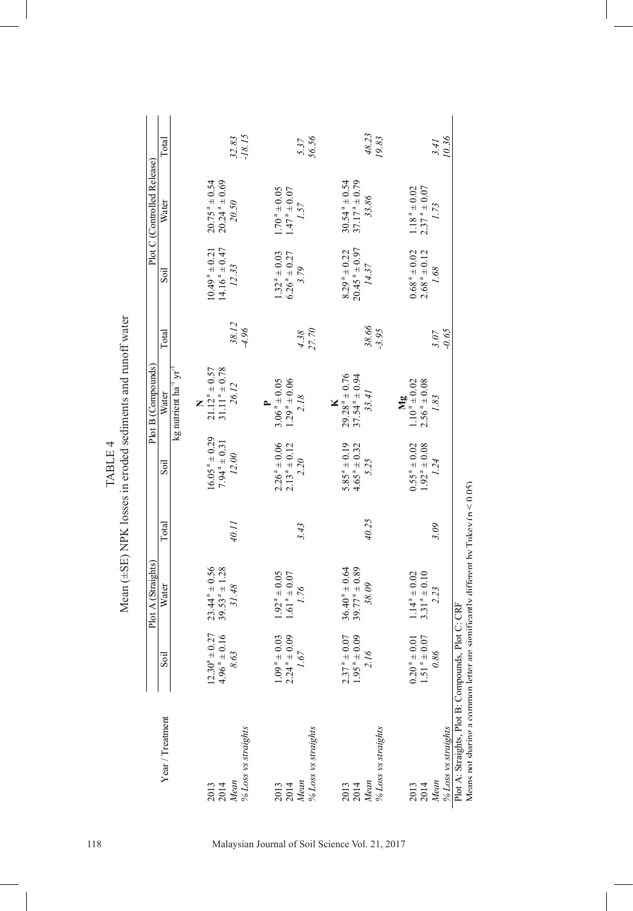|                                                                                       |                                                                             | Plot A (Straights)                                  |       |                                        | Plot B (Compounds)                                                                          |                  |                                               | Plot C (Controlled Release)                                               |               |
|---------------------------------------------------------------------------------------|-----------------------------------------------------------------------------|-----------------------------------------------------|-------|----------------------------------------|---------------------------------------------------------------------------------------------|------------------|-----------------------------------------------|---------------------------------------------------------------------------|---------------|
| Year / Treatment                                                                      | Soil                                                                        | Water                                               | Total | $\overline{\text{Soil}}$               | Water                                                                                       | Total            | Soil                                          | Water                                                                     | Total         |
|                                                                                       |                                                                             |                                                     |       |                                        | kg nutrient ha <sup>-1</sup> yr                                                             |                  |                                               |                                                                           |               |
|                                                                                       |                                                                             |                                                     |       |                                        |                                                                                             |                  |                                               |                                                                           |               |
| 2013<br>2014<br>Mean<br>% Loss vs straights                                           | $12.30^9 \pm 0.27$<br>4.96 <sup>3</sup> $\pm$ 0.16                          | $23.44^a \pm 0.56$<br>39.53 <sup>a</sup> $\pm$ 1.28 |       | $16.05a \pm 0.29$                      | $\begin{array}{c} \mathbf{N} \\ 21.12^{\, 4} \pm 0.57 \\ 31.11^{\, 4} \pm 0.78 \end{array}$ |                  | $10.49^{\,a}\pm0.21$<br>14.16 $^{\,a}\pm0.47$ | $20.75$ <sup>a</sup> $\pm$ 0.54<br>20.24 <sup>a</sup> $\pm$ 0.69<br>20.50 |               |
|                                                                                       |                                                                             |                                                     |       | $7.94^{\degree} \pm 0.31$              |                                                                                             |                  |                                               |                                                                           |               |
|                                                                                       | 8.63                                                                        | 31.48                                               | 40.11 | 12.00                                  | 26.12                                                                                       | $38.12$<br>-4.96 | 12.33                                         |                                                                           | 32.83         |
|                                                                                       |                                                                             |                                                     |       |                                        |                                                                                             |                  |                                               |                                                                           | $-18.15$      |
|                                                                                       |                                                                             |                                                     |       |                                        |                                                                                             |                  |                                               |                                                                           |               |
| 2013<br>2014<br>Mean<br>% Loss vs straights                                           | $1.09^{\degree} \pm 0.03$<br>2.24 $^{\degree} \pm 0.09$                     | $.92^{a} \pm 0.05$                                  |       | $2.26^a \pm 0.06$<br>$2.13^a \pm 0.12$ | $3.06^{\text{a}} \pm 0.05$<br>1.29 <sup>a</sup> $\pm$ 0.06                                  |                  | $.32^{a} \pm 0.03$                            |                                                                           |               |
|                                                                                       |                                                                             | $1.61$ $^{\rm a}$ $\pm$ $0.07$                      |       |                                        |                                                                                             |                  | $6.26^{\text{ a}} \pm 0.27$                   | $1.70^a \pm 0.05$<br>$1.47^a \pm 0.07$                                    |               |
|                                                                                       | 1.67                                                                        | 1.76                                                | 3.43  | 2.20                                   | 2.18                                                                                        | $4.38$<br>27.70  | 3.79                                          | 1.57                                                                      | 5.37<br>56.56 |
|                                                                                       |                                                                             |                                                     |       |                                        |                                                                                             |                  |                                               |                                                                           |               |
|                                                                                       |                                                                             |                                                     |       |                                        |                                                                                             |                  |                                               |                                                                           |               |
|                                                                                       |                                                                             |                                                     |       | $5.85^{a} \pm 0.19$                    |                                                                                             |                  | $8.29^{\text{ a}} \pm 0.22$                   |                                                                           |               |
|                                                                                       | $2.37^a \pm 0.07$<br>1.95 <sup>a</sup> $\pm$ 0.09                           | $36.40^a \pm 0.64$<br>$39.77^a \pm 0.89$            |       | $4.65^{\text{ a}} \pm 0.32$            | $29.28^{\circ} \pm 0.76$<br>37.54 <sup><math>\circ</math></sup> $\pm 0.94$                  |                  | $20.45^{\text{ a}} \pm 0.97$                  | $30.54^{\,a} \pm 0.54$<br>$37.17^{\,a} \pm 0.79$                          |               |
|                                                                                       | 2.16                                                                        | 38.09                                               | 40.25 | 5.25                                   | 33.41                                                                                       |                  | 14.37                                         | 33.86                                                                     | 48.23         |
| 2013<br>2014<br>Mean<br>% Loss vs straights                                           |                                                                             |                                                     |       |                                        |                                                                                             | 38.66            |                                               |                                                                           | 19.83         |
|                                                                                       |                                                                             |                                                     |       |                                        |                                                                                             |                  |                                               |                                                                           |               |
|                                                                                       |                                                                             | $14^{a} \pm 0.02$                                   |       | $0.55^{a} \pm 0.02$                    | $M_g$<br>1.10 <sup>a</sup> ± 0.02                                                           |                  | $0.68^{\text{ a}} \pm 0.02$                   | $18^{a} \pm 0.02$                                                         |               |
| $2013$<br>$2014$<br><i>Mean</i>                                                       | $\begin{array}{c} 0.20^{\, 3} \pm 0.01 \\ 1.51^{\, 3} \pm 0.07 \end{array}$ | $3.31^{a} \pm 0.10$                                 |       | $1.92^{\degree} \pm 0.08$<br>$1.24$    | $2.56^{\degree} \pm 0.08$                                                                   |                  | $2.68^{a} \pm 0.12$                           | $2.37^{a} \pm 0.07$                                                       |               |
|                                                                                       | 0.86                                                                        | 2.23                                                | 3.09  |                                        | 1.83                                                                                        | 3.07             | 1.68                                          | 1.73                                                                      | 3.41          |
| % Loss vs straights                                                                   |                                                                             |                                                     |       |                                        |                                                                                             | $-0.65$          |                                               |                                                                           | 10.36         |
| Plot A: Straights, Plot B: Compounds, Plot C: CRF                                     |                                                                             |                                                     |       |                                        |                                                                                             |                  |                                               |                                                                           |               |
| Means not sharing a common letter are significantly different by Tukey ( $n < 0.05$ ) |                                                                             |                                                     |       |                                        |                                                                                             |                  |                                               |                                                                           |               |

Mean (±SE) NPK losses in eroded sediments and runoff water Mean (±SE) NPK losses in eroded sediments and runoff waterMean (±SE) NPK losses in eroded sediments and runoff water TABLE 4 TABLE 4 TABLE 4

118 Malaysian Journal of Soil Science Vol. 21, 2017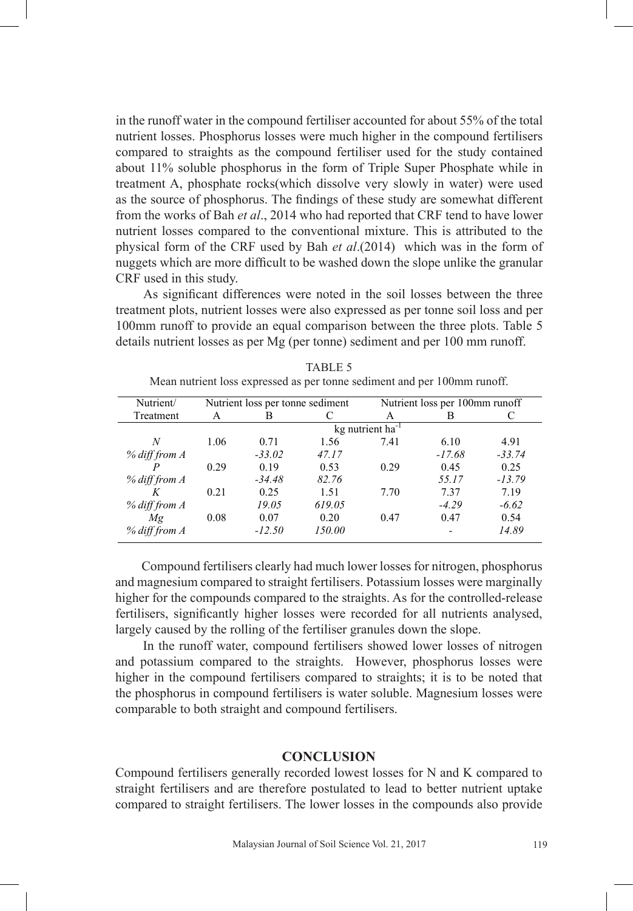in the runoff water in the compound fertiliser accounted for about 55% of the total nutrient losses. Phosphorus losses were much higher in the compound fertilisers compared to straights as the compound fertiliser used for the study contained about 11% soluble phosphorus in the form of Triple Super Phosphate while in treatment A, phosphate rocks(which dissolve very slowly in water) were used as the source of phosphorus. The findings of these study are somewhat different from the works of Bah *et al*., 2014 who had reported that CRF tend to have lower nutrient losses compared to the conventional mixture. This is attributed to the physical form of the CRF used by Bah *et al*.(2014) which was in the form of nuggets which are more difficult to be washed down the slope unlike the granular CRF used in this study.

As significant differences were noted in the soil losses between the three treatment plots, nutrient losses were also expressed as per tonne soil loss and per 100mm runoff to provide an equal comparison between the three plots. Table 5 details nutrient losses as per Mg (per tonne) sediment and per 100 mm runoff.

| A    | B        |        | A                                | В                              |                                |
|------|----------|--------|----------------------------------|--------------------------------|--------------------------------|
|      |          |        |                                  |                                |                                |
| 1.06 | 0.71     | 1.56   | 7.41                             | 6.10                           | 4.91                           |
|      | $-33.02$ | 47.17  |                                  | $-17.68$                       | $-33.74$                       |
| 0.29 | 0.19     | 0.53   | 0.29                             | 0.45                           | 0.25                           |
|      | $-34.48$ | 82.76  |                                  | 55.17                          | $-13.79$                       |
| 0.21 | 0.25     | 1.51   | 7.70                             | 7.37                           | 7.19                           |
|      | 19.05    | 619.05 |                                  | $-4.29$                        | $-6.62$                        |
| 0.08 | 0.07     | 0.20   | 0.47                             | 0.47                           | 0.54                           |
|      | $-12.50$ | 150.00 |                                  |                                | 14.89                          |
|      |          |        | Nutrient loss per tonne sediment | $kg$ nutrient ha <sup>-1</sup> | Nutrient loss per 100mm runoff |

| TABLE 5                                                                  |
|--------------------------------------------------------------------------|
| Mean nutrient loss expressed as per tonne sediment and per 100mm runoff. |

 $\Gamma$  compound fertilisers can be defined for  $\mu$  and  $\mu$  and  $\mu$  and  $\mu$  and  $\mu$  and  $\mu$  and  $\mu$  and  $\mu$  and  $\mu$  and  $\mu$  and  $\mu$  and  $\mu$  and  $\mu$  and  $\mu$  and  $\mu$  and  $\mu$  and  $\mu$  and  $\mu$  and  $\mu$  and  $\mu$  and magnesium compared to straight fertilisers. Potassium losses were marginally higher for the compounds compared to the straights. As for the controlled-release fertilisers, significantly higher losses were recorded for all nutrients analysed, largely caused by the rolling of the fertiliser granules down the slope. Compound fertilisers clearly had much lower losses for nitrogen, phosphorus

In the run of the run of the run of the run of the run of the run of nitrogen and the run of nitrogen and the run of nitrogen and the run of nitrogen and the run of nitrogen and the run of nitrogen and the run of nitrogen In the runoff water, compound fertilisers showed lower losses of nitrogen and potassium compared to the straights. However, phosphorus losses were higher in the compound fertilisers compared to straights; it is to be noted that the phosphorus in compound fertilisers is water soluble. Magnesium losses were comparable to both straight and compound fertilisers.

# **CONCLUSION**

fertilisers and are therefore postulated to better number of  $\frac{1}{2}$  of  $\frac{1}{2}$  of  $\frac{1}{2}$  of  $\frac{1}{2}$  of  $\frac{1}{2}$  of  $\frac{1}{2}$  of  $\frac{1}{2}$  of  $\frac{1}{2}$  of  $\frac{1}{2}$  of  $\frac{1}{2}$  of  $\frac{1}{2}$  of  $\frac{1}{2}$  of  $\frac{$ Compound fertilisers generally recorded lowest losses for N and K compared to straight fertilisers and are therefore postulated to lead to better nutrient uptake compared to straight fertilisers. The lower losses in the compounds also provide  $\frac{1}{\sqrt{2}}$  is effect on one of  $\frac{1}{\sqrt{2}}$  is equal parameter on oil parameters of  $\frac{1}{\sqrt{2}}$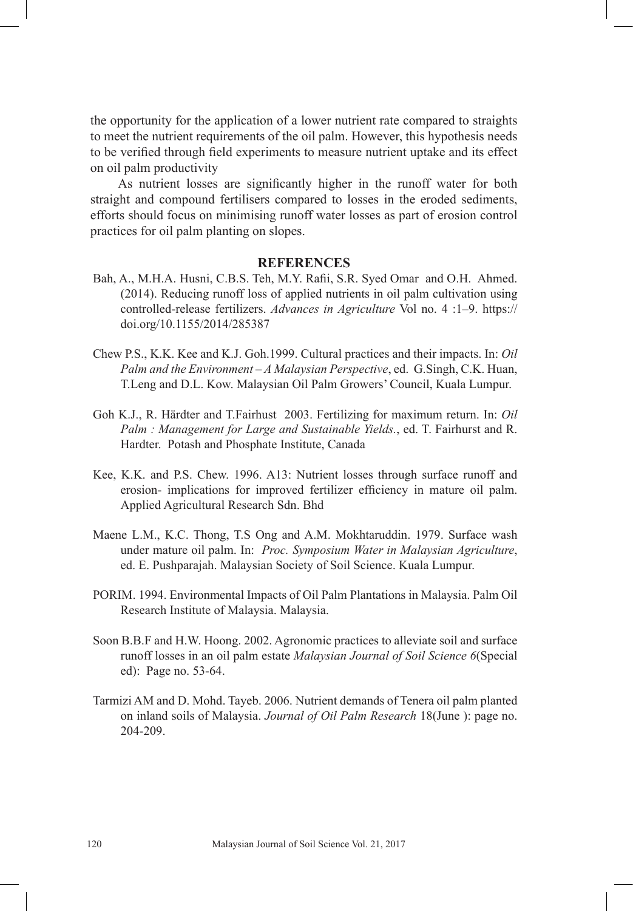the opportunity for the application of a lower nutrient rate compared to straights to meet the nutrient requirements of the oil palm. However, this hypothesis needs to be verified through field experiments to measure nutrient uptake and its effect on oil palm productivity

As nutrient losses are significantly higher in the runoff water for both straight and compound fertilisers compared to losses in the eroded sediments, efforts should focus on minimising runoff water losses as part of erosion control practices for oil palm planting on slopes.

#### **REFERENCES**

- Bah, A., M.H.A. Husni, C.B.S. Teh, M.Y. Rafii, S.R. Syed Omar and O.H. Ahmed. (2014). Reducing runoff loss of applied nutrients in oil palm cultivation using controlled-release fertilizers. *Advances in Agriculture* Vol no. 4 :1–9. https:// doi.org/10.1155/2014/285387
- Chew P.S., K.K. Kee and K.J. Goh.1999. Cultural practices and their impacts. In: *Oil Palm and the Environment – A Malaysian Perspective*, ed. G.Singh, C.K. Huan, T.Leng and D.L. Kow. Malaysian Oil Palm Growers' Council, Kuala Lumpur.
- Goh K.J., R. Härdter and T.Fairhust 2003. Fertilizing for maximum return. In: *Oil Palm : Management for Large and Sustainable Yields.*, ed. T. Fairhurst and R. Hardter. Potash and Phosphate Institute, Canada
- Kee, K.K. and P.S. Chew. 1996. A13: Nutrient losses through surface runoff and erosion- implications for improved fertilizer efficiency in mature oil palm. Applied Agricultural Research Sdn. Bhd
- Maene L.M., K.C. Thong, T.S Ong and A.M. Mokhtaruddin. 1979. Surface wash under mature oil palm. In: *Proc. Symposium Water in Malaysian Agriculture*, ed. E. Pushparajah. Malaysian Society of Soil Science. Kuala Lumpur.
- PORIM. 1994. Environmental Impacts of Oil Palm Plantations in Malaysia. Palm Oil Research Institute of Malaysia. Malaysia.
- Soon B.B.F and H.W. Hoong. 2002. Agronomic practices to alleviate soil and surface runoff losses in an oil palm estate *Malaysian Journal of Soil Science 6*(Special ed): Page no. 53-64.
- Tarmizi AM and D. Mohd. Tayeb. 2006. Nutrient demands of Tenera oil palm planted on inland soils of Malaysia. *Journal of Oil Palm Research* 18(June ): page no. 204-209.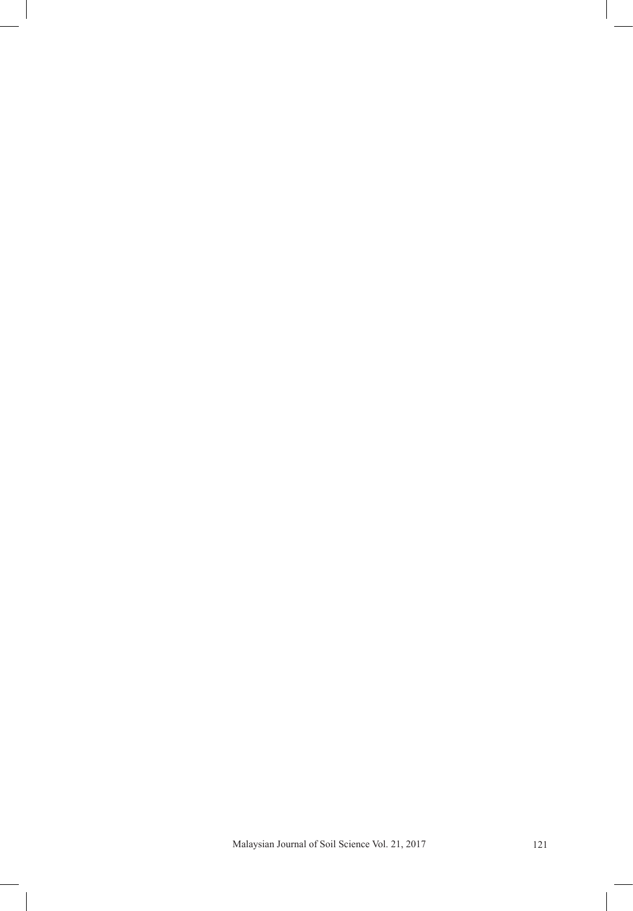Malaysian Journal of Soil Science Vol. 21, 2017 121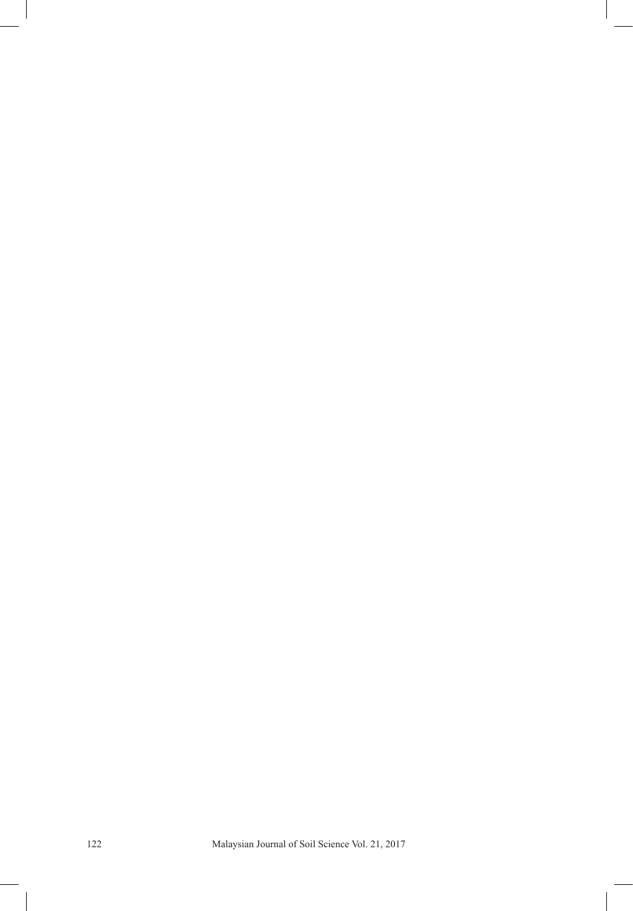122 Malaysian Journal of Soil Science Vol. 21, 2017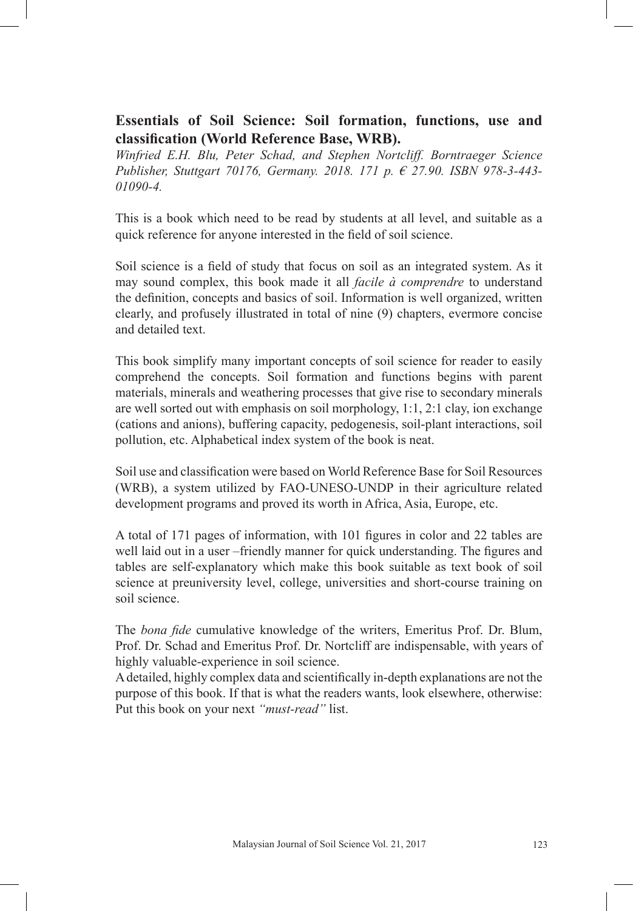# **Essentials of Soil Science: Soil formation, functions, use and classification (World Reference Base, WRB).**

*Winfried E.H. Blu, Peter Schad, and Stephen Nortcliff. Borntraeger Science Publisher, Stuttgart 70176, Germany. 2018. 171 p. € 27.90. ISBN 978-3-443- 01090-4.*

This is a book which need to be read by students at all level, and suitable as a quick reference for anyone interested in the field of soil science.

Soil science is a field of study that focus on soil as an integrated system. As it may sound complex, this book made it all *facile à comprendre* to understand the definition, concepts and basics of soil. Information is well organized, written clearly, and profusely illustrated in total of nine (9) chapters, evermore concise and detailed text.

This book simplify many important concepts of soil science for reader to easily comprehend the concepts. Soil formation and functions begins with parent materials, minerals and weathering processes that give rise to secondary minerals are well sorted out with emphasis on soil morphology, 1:1, 2:1 clay, ion exchange (cations and anions), buffering capacity, pedogenesis, soil-plant interactions, soil pollution, etc. Alphabetical index system of the book is neat.

Soil use and classification were based on World Reference Base for Soil Resources (WRB), a system utilized by FAO-UNESO-UNDP in their agriculture related development programs and proved its worth in Africa, Asia, Europe, etc.

A total of 171 pages of information, with 101 figures in color and 22 tables are well laid out in a user –friendly manner for quick understanding. The figures and tables are self-explanatory which make this book suitable as text book of soil science at preuniversity level, college, universities and short-course training on soil science.

The *bona fide* cumulative knowledge of the writers, Emeritus Prof. Dr. Blum, Prof. Dr. Schad and Emeritus Prof. Dr. Nortcliff are indispensable, with years of highly valuable-experience in soil science.

A detailed, highly complex data and scientifically in-depth explanations are not the purpose of this book. If that is what the readers wants, look elsewhere, otherwise: Put this book on your next *"must-read"* list.